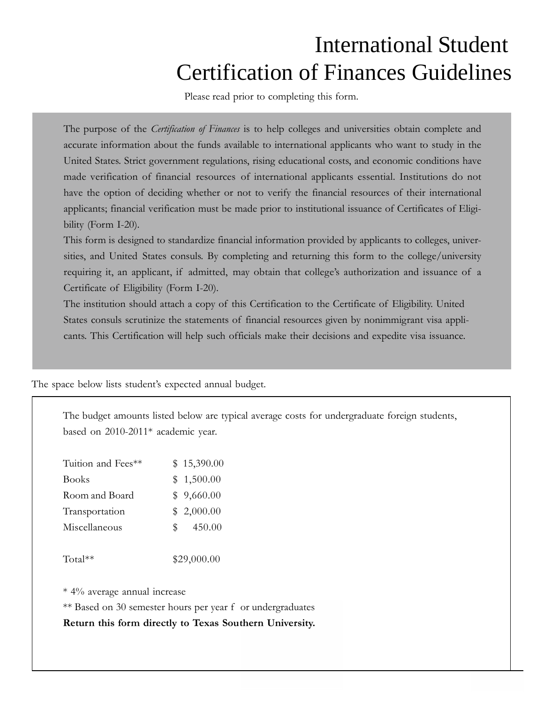## International Student Certification of Finances Guidelines

Please read prior to completing this form.

The purpose of the *Certification of Finances* is to help colleges and universities obtain complete and accurate information about the funds available to international applicants who want to study in the United States. Strict government regulations, rising educational costs, and economic conditions have made verification of financial resources of international applicants essential. Institutions do not have the option of deciding whether or not to verify the financial resources of their international applicants; financial verification must be made prior to institutional issuance of Certificates of Eligibility (Form I-20).

This form is designed to standardize financial information provided by applicants to colleges, universities, and United States consuls. By completing and returning this form to the college/university requiring it, an applicant, if admitted, may obtain that college's authorization and issuance of a Certificate of Eligibility (Form I-20).

The institution should attach a copy of this Certification to the Certificate of Eligibility. United States consuls scrutinize the statements of financial resources given by nonimmigrant visa applicants. This Certification will help such officials make their decisions and expedite visa issuance.

The space below lists student's expected annual budget.

The budget amounts listed below are typical average costs for undergraduate foreign students, based on 2010-2011\* academic year.

| Tuition and Fees** | \$15,390.00   |
|--------------------|---------------|
| <b>Books</b>       | \$1,500.00    |
| Room and Board     | \$9,660.00    |
| Transportation     | \$2,000.00    |
| Miscellaneous      | 450.00<br>SS. |
|                    |               |

Total\*\* \$29,000.00

\* 4% average annual increase

\*\* Based on 30 semester hours per year f or undergraduates

**Return this form directly to Texas Sou thern University.**